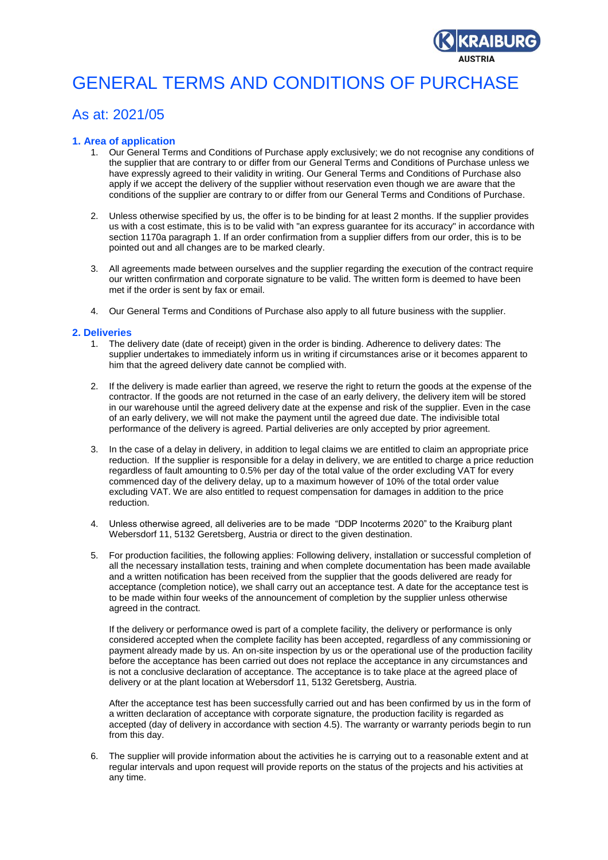

# GENERAL TERMS AND CONDITIONS OF PURCHASE

# As at: 2021/05

# **1. Area of application**

- 1. Our General Terms and Conditions of Purchase apply exclusively; we do not recognise any conditions of the supplier that are contrary to or differ from our General Terms and Conditions of Purchase unless we have expressly agreed to their validity in writing. Our General Terms and Conditions of Purchase also apply if we accept the delivery of the supplier without reservation even though we are aware that the conditions of the supplier are contrary to or differ from our General Terms and Conditions of Purchase.
- 2. Unless otherwise specified by us, the offer is to be binding for at least 2 months. If the supplier provides us with a cost estimate, this is to be valid with "an express guarantee for its accuracy" in accordance with section 1170a paragraph 1. If an order confirmation from a supplier differs from our order, this is to be pointed out and all changes are to be marked clearly.
- 3. All agreements made between ourselves and the supplier regarding the execution of the contract require our written confirmation and corporate signature to be valid. The written form is deemed to have been met if the order is sent by fax or email.
- 4. Our General Terms and Conditions of Purchase also apply to all future business with the supplier.

# **2. Deliveries**

- 1. The delivery date (date of receipt) given in the order is binding. Adherence to delivery dates: The supplier undertakes to immediately inform us in writing if circumstances arise or it becomes apparent to him that the agreed delivery date cannot be complied with.
- 2. If the delivery is made earlier than agreed, we reserve the right to return the goods at the expense of the contractor. If the goods are not returned in the case of an early delivery, the delivery item will be stored in our warehouse until the agreed delivery date at the expense and risk of the supplier. Even in the case of an early delivery, we will not make the payment until the agreed due date. The indivisible total performance of the delivery is agreed. Partial deliveries are only accepted by prior agreement.
- 3. In the case of a delay in delivery, in addition to legal claims we are entitled to claim an appropriate price reduction. If the supplier is responsible for a delay in delivery, we are entitled to charge a price reduction regardless of fault amounting to 0.5% per day of the total value of the order excluding VAT for every commenced day of the delivery delay, up to a maximum however of 10% of the total order value excluding VAT. We are also entitled to request compensation for damages in addition to the price reduction.
- 4. Unless otherwise agreed, all deliveries are to be made "DDP Incoterms 2020" to the Kraiburg plant Webersdorf 11, 5132 Geretsberg, Austria or direct to the given destination.
- 5. For production facilities, the following applies: Following delivery, installation or successful completion of all the necessary installation tests, training and when complete documentation has been made available and a written notification has been received from the supplier that the goods delivered are ready for acceptance (completion notice), we shall carry out an acceptance test. A date for the acceptance test is to be made within four weeks of the announcement of completion by the supplier unless otherwise agreed in the contract.

If the delivery or performance owed is part of a complete facility, the delivery or performance is only considered accepted when the complete facility has been accepted, regardless of any commissioning or payment already made by us. An on-site inspection by us or the operational use of the production facility before the acceptance has been carried out does not replace the acceptance in any circumstances and is not a conclusive declaration of acceptance. The acceptance is to take place at the agreed place of delivery or at the plant location at Webersdorf 11, 5132 Geretsberg, Austria.

After the acceptance test has been successfully carried out and has been confirmed by us in the form of a written declaration of acceptance with corporate signature, the production facility is regarded as accepted (day of delivery in accordance with section 4.5). The warranty or warranty periods begin to run from this day.

6. The supplier will provide information about the activities he is carrying out to a reasonable extent and at regular intervals and upon request will provide reports on the status of the projects and his activities at any time.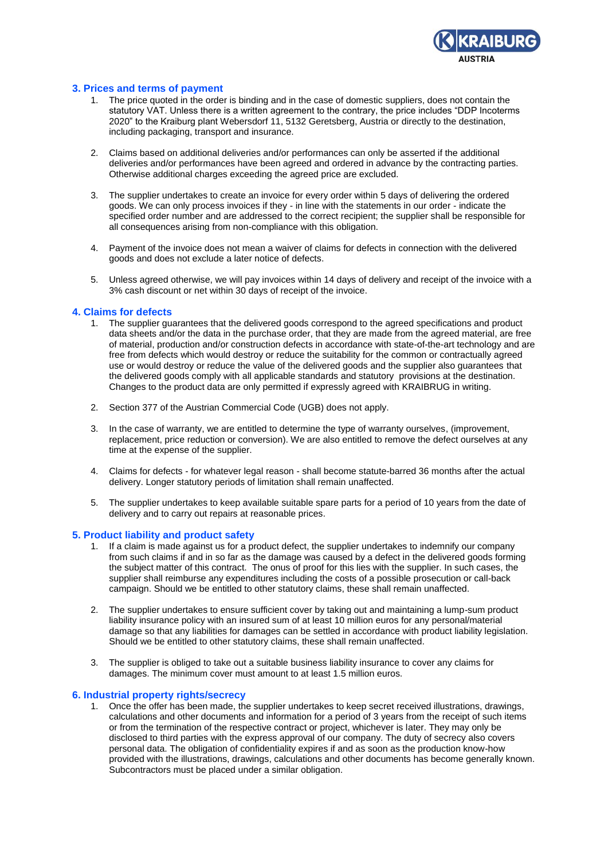

# **3. Prices and terms of payment**

- 1. The price quoted in the order is binding and in the case of domestic suppliers, does not contain the statutory VAT. Unless there is a written agreement to the contrary, the price includes "DDP Incoterms 2020" to the Kraiburg plant Webersdorf 11, 5132 Geretsberg, Austria or directly to the destination, including packaging, transport and insurance.
- 2. Claims based on additional deliveries and/or performances can only be asserted if the additional deliveries and/or performances have been agreed and ordered in advance by the contracting parties. Otherwise additional charges exceeding the agreed price are excluded.
- 3. The supplier undertakes to create an invoice for every order within 5 days of delivering the ordered goods. We can only process invoices if they - in line with the statements in our order - indicate the specified order number and are addressed to the correct recipient; the supplier shall be responsible for all consequences arising from non-compliance with this obligation.
- 4. Payment of the invoice does not mean a waiver of claims for defects in connection with the delivered goods and does not exclude a later notice of defects.
- 5. Unless agreed otherwise, we will pay invoices within 14 days of delivery and receipt of the invoice with a 3% cash discount or net within 30 days of receipt of the invoice.

#### **4. Claims for defects**

- 1. The supplier guarantees that the delivered goods correspond to the agreed specifications and product data sheets and/or the data in the purchase order, that they are made from the agreed material, are free of material, production and/or construction defects in accordance with state-of-the-art technology and are free from defects which would destroy or reduce the suitability for the common or contractually agreed use or would destroy or reduce the value of the delivered goods and the supplier also guarantees that the delivered goods comply with all applicable standards and statutory provisions at the destination. Changes to the product data are only permitted if expressly agreed with KRAIBRUG in writing.
- 2. Section 377 of the Austrian Commercial Code (UGB) does not apply.
- 3. In the case of warranty, we are entitled to determine the type of warranty ourselves, (improvement, replacement, price reduction or conversion). We are also entitled to remove the defect ourselves at any time at the expense of the supplier.
- 4. Claims for defects for whatever legal reason shall become statute-barred 36 months after the actual delivery. Longer statutory periods of limitation shall remain unaffected.
- 5. The supplier undertakes to keep available suitable spare parts for a period of 10 years from the date of delivery and to carry out repairs at reasonable prices.

# **5. Product liability and product safety**

- 1. If a claim is made against us for a product defect, the supplier undertakes to indemnify our company from such claims if and in so far as the damage was caused by a defect in the delivered goods forming the subject matter of this contract. The onus of proof for this lies with the supplier. In such cases, the supplier shall reimburse any expenditures including the costs of a possible prosecution or call-back campaign. Should we be entitled to other statutory claims, these shall remain unaffected.
- 2. The supplier undertakes to ensure sufficient cover by taking out and maintaining a lump-sum product liability insurance policy with an insured sum of at least 10 million euros for any personal/material damage so that any liabilities for damages can be settled in accordance with product liability legislation. Should we be entitled to other statutory claims, these shall remain unaffected.
- 3. The supplier is obliged to take out a suitable business liability insurance to cover any claims for damages. The minimum cover must amount to at least 1.5 million euros.

#### **6. Industrial property rights/secrecy**

1. Once the offer has been made, the supplier undertakes to keep secret received illustrations, drawings, calculations and other documents and information for a period of 3 years from the receipt of such items or from the termination of the respective contract or project, whichever is later. They may only be disclosed to third parties with the express approval of our company. The duty of secrecy also covers personal data. The obligation of confidentiality expires if and as soon as the production know-how provided with the illustrations, drawings, calculations and other documents has become generally known. Subcontractors must be placed under a similar obligation.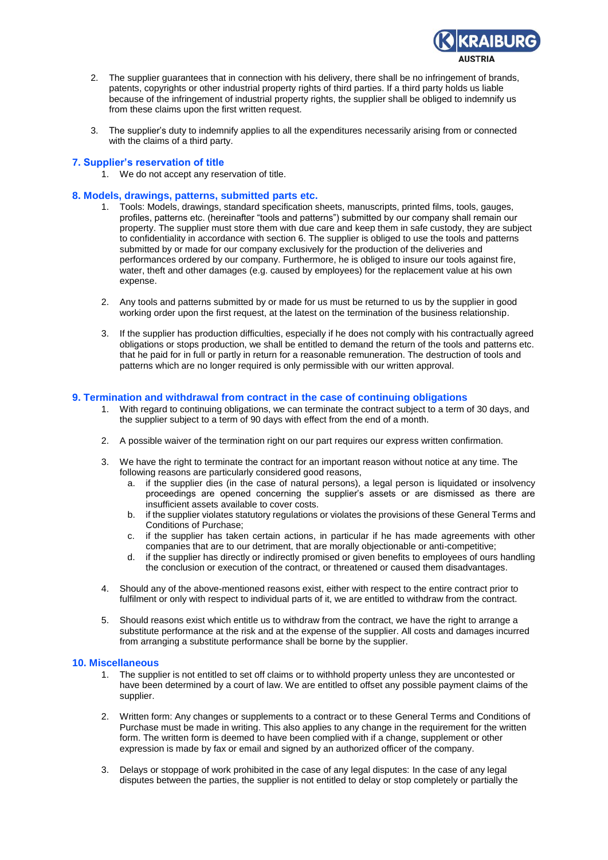

- 2. The supplier guarantees that in connection with his delivery, there shall be no infringement of brands, patents, copyrights or other industrial property rights of third parties. If a third party holds us liable because of the infringement of industrial property rights, the supplier shall be obliged to indemnify us from these claims upon the first written request.
- 3. The supplier's duty to indemnify applies to all the expenditures necessarily arising from or connected with the claims of a third party.

# **7. Supplier's reservation of title**

1. We do not accept any reservation of title.

#### **8. Models, drawings, patterns, submitted parts etc.**

- 1. Tools: Models, drawings, standard specification sheets, manuscripts, printed films, tools, gauges, profiles, patterns etc. (hereinafter "tools and patterns") submitted by our company shall remain our property. The supplier must store them with due care and keep them in safe custody, they are subject to confidentiality in accordance with section 6. The supplier is obliged to use the tools and patterns submitted by or made for our company exclusively for the production of the deliveries and performances ordered by our company. Furthermore, he is obliged to insure our tools against fire, water, theft and other damages (e.g. caused by employees) for the replacement value at his own expense.
- 2. Any tools and patterns submitted by or made for us must be returned to us by the supplier in good working order upon the first request, at the latest on the termination of the business relationship.
- 3. If the supplier has production difficulties, especially if he does not comply with his contractually agreed obligations or stops production, we shall be entitled to demand the return of the tools and patterns etc. that he paid for in full or partly in return for a reasonable remuneration. The destruction of tools and patterns which are no longer required is only permissible with our written approval.

### **9. Termination and withdrawal from contract in the case of continuing obligations**

- 1. With regard to continuing obligations, we can terminate the contract subject to a term of 30 days, and the supplier subject to a term of 90 days with effect from the end of a month.
- 2. A possible waiver of the termination right on our part requires our express written confirmation.
- 3. We have the right to terminate the contract for an important reason without notice at any time. The following reasons are particularly considered good reasons,
	- a. if the supplier dies (in the case of natural persons), a legal person is liquidated or insolvency proceedings are opened concerning the supplier's assets or are dismissed as there are insufficient assets available to cover costs.
	- b. if the supplier violates statutory regulations or violates the provisions of these General Terms and Conditions of Purchase;
	- c. if the supplier has taken certain actions, in particular if he has made agreements with other companies that are to our detriment, that are morally objectionable or anti-competitive;
	- d. if the supplier has directly or indirectly promised or given benefits to employees of ours handling the conclusion or execution of the contract, or threatened or caused them disadvantages.
- 4. Should any of the above-mentioned reasons exist, either with respect to the entire contract prior to fulfilment or only with respect to individual parts of it, we are entitled to withdraw from the contract.
- 5. Should reasons exist which entitle us to withdraw from the contract, we have the right to arrange a substitute performance at the risk and at the expense of the supplier. All costs and damages incurred from arranging a substitute performance shall be borne by the supplier.

#### **10. Miscellaneous**

- 1. The supplier is not entitled to set off claims or to withhold property unless they are uncontested or have been determined by a court of law. We are entitled to offset any possible payment claims of the supplier.
- 2. Written form: Any changes or supplements to a contract or to these General Terms and Conditions of Purchase must be made in writing. This also applies to any change in the requirement for the written form. The written form is deemed to have been complied with if a change, supplement or other expression is made by fax or email and signed by an authorized officer of the company.
- 3. Delays or stoppage of work prohibited in the case of any legal disputes: In the case of any legal disputes between the parties, the supplier is not entitled to delay or stop completely or partially the